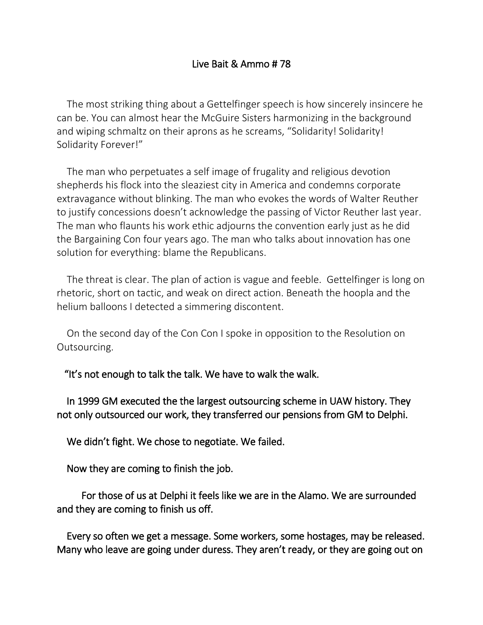## Live Bait & Ammo # 78

The most striking thing about a Gettelfinger speech is how sincerely insincere he can be. You can almost hear the McGuire Sisters harmonizing in the background and wiping schmaltz on their aprons as he screams, "Solidarity! Solidarity! Solidarity Forever!"

The man who perpetuates a self image of frugality and religious devotion shepherds his flock into the sleaziest city in America and condemns corporate extravagance without blinking. The man who evokes the words of Walter Reuther to justify concessions doesn't acknowledge the passing of Victor Reuther last year. The man who flaunts his work ethic adjourns the convention early just as he did the Bargaining Con four years ago. The man who talks about innovation has one solution for everything: blame the Republicans.

The threat is clear. The plan of action is vague and feeble. Gettelfinger is long on rhetoric, short on tactic, and weak on direct action. Beneath the hoopla and the helium balloons I detected a simmering discontent.

On the second day of the Con Con I spoke in opposition to the Resolution on Outsourcing.

"It's not enough to talk the talk. We have to walk the walk.

 In 1999 GM executed the the largest outsourcing scheme in UAW history. They not only outsourced our work, they transferred our pensions from GM to Delphi.

We didn't fight. We chose to negotiate. We failed.

Now they are coming to finish the job.

 For those of us at Delphi it feels like we are in the Alamo. We are surrounded and they are coming to finish us off.

 Every so often we get a message. Some workers, some hostages, may be released. Many who leave are going under duress. They aren't ready, or they are going out on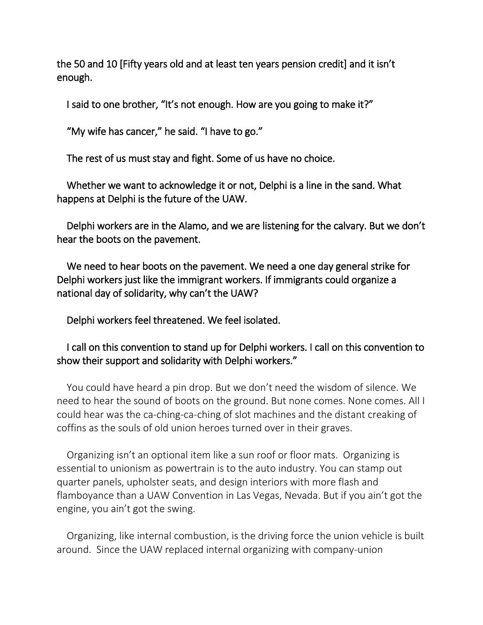the 50 and 10 [Fifty years old and at least ten years pension credit] and it isn't enough.

I said to one brother, "It's not enough. How are you going to make it?"

"My wife has cancer," he said. "I have to go."

The rest of us must stay and fight. Some of us have no choice.

 Whether we want to acknowledge it or not, Delphi is a line in the sand. What happens at Delphi is the future of the UAW.

 Delphi workers are in the Alamo, and we are listening for the calvary. But we don't hear the boots on the pavement.

 We need to hear boots on the pavement. We need a one day general strike for Delphi workers just like the immigrant workers. If immigrants could organize a national day of solidarity, why can't the UAW?

Delphi workers feel threatened. We feel isolated.

## I call on this convention to stand up for Delphi workers. I call on this convention to show their support and solidarity with Delphi workers."

You could have heard a pin drop. But we don't need the wisdom of silence. We need to hear the sound of boots on the ground. But none comes. None comes. All I could hear was the ca-ching-ca-ching of slot machines and the distant creaking of coffins as the souls of old union heroes turned over in their graves.

Organizing isn't an optional item like a sun roof or floor mats. Organizing is essential to unionism as powertrain is to the auto industry. You can stamp out quarter panels, upholster seats, and design interiors with more flash and flamboyance than a UAW Convention in Las Vegas, Nevada. But if you ain't got the engine, you ain't got the swing.

Organizing, like internal combustion, is the driving force the union vehicle is built around. Since the UAW replaced internal organizing with company-union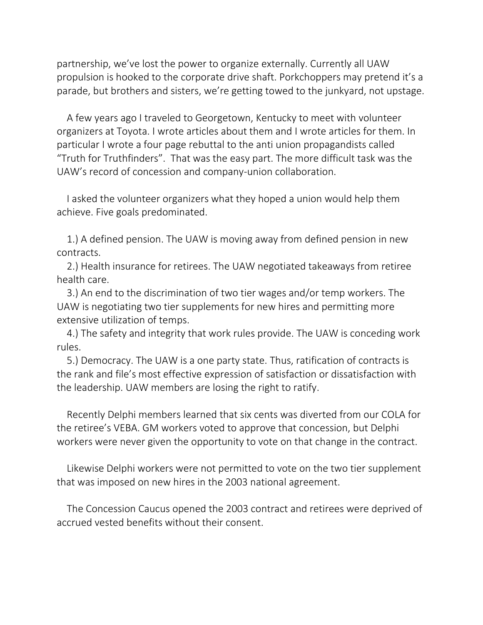partnership, we've lost the power to organize externally. Currently all UAW propulsion is hooked to the corporate drive shaft. Porkchoppers may pretend it's a parade, but brothers and sisters, we're getting towed to the junkyard, not upstage.

A few years ago I traveled to Georgetown, Kentucky to meet with volunteer organizers at Toyota. I wrote articles about them and I wrote articles for them. In particular I wrote a four page rebuttal to the anti union propagandists called "Truth for Truthfinders". That was the easy part. The more difficult task was the UAW's record of concession and company-union collaboration.

I asked the volunteer organizers what they hoped a union would help them achieve. Five goals predominated.

1.) A defined pension. The UAW is moving away from defined pension in new contracts.

2.) Health insurance for retirees. The UAW negotiated takeaways from retiree health care.

3.) An end to the discrimination of two tier wages and/or temp workers. The UAW is negotiating two tier supplements for new hires and permitting more extensive utilization of temps.

4.) The safety and integrity that work rules provide. The UAW is conceding work rules.

5.) Democracy. The UAW is a one party state. Thus, ratification of contracts is the rank and file's most effective expression of satisfaction or dissatisfaction with the leadership. UAW members are losing the right to ratify.

Recently Delphi members learned that six cents was diverted from our COLA for the retiree's VEBA. GM workers voted to approve that concession, but Delphi workers were never given the opportunity to vote on that change in the contract.

Likewise Delphi workers were not permitted to vote on the two tier supplement that was imposed on new hires in the 2003 national agreement.

The Concession Caucus opened the 2003 contract and retirees were deprived of accrued vested benefits without their consent.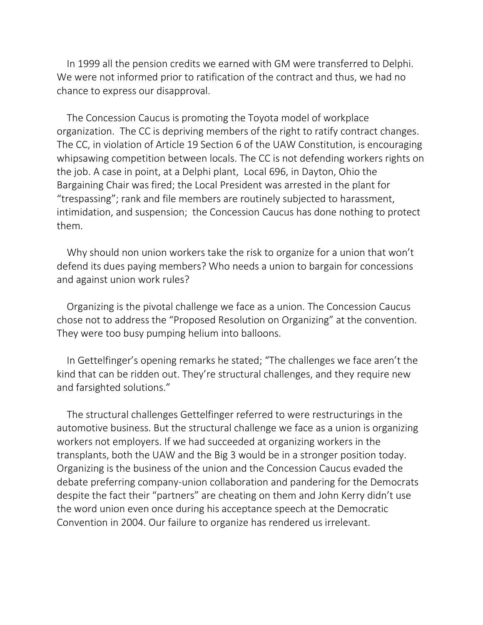In 1999 all the pension credits we earned with GM were transferred to Delphi. We were not informed prior to ratification of the contract and thus, we had no chance to express our disapproval.

The Concession Caucus is promoting the Toyota model of workplace organization. The CC is depriving members of the right to ratify contract changes. The CC, in violation of Article 19 Section 6 of the UAW Constitution, is encouraging whipsawing competition between locals. The CC is not defending workers rights on the job. A case in point, at a Delphi plant, Local 696, in Dayton, Ohio the Bargaining Chair was fired; the Local President was arrested in the plant for "trespassing"; rank and file members are routinely subjected to harassment, intimidation, and suspension; the Concession Caucus has done nothing to protect them.

Why should non union workers take the risk to organize for a union that won't defend its dues paying members? Who needs a union to bargain for concessions and against union work rules?

Organizing is the pivotal challenge we face as a union. The Concession Caucus chose not to address the "Proposed Resolution on Organizing" at the convention. They were too busy pumping helium into balloons.

In Gettelfinger's opening remarks he stated; "The challenges we face aren't the kind that can be ridden out. They're structural challenges, and they require new and farsighted solutions."

The structural challenges Gettelfinger referred to were restructurings in the automotive business. But the structural challenge we face as a union is organizing workers not employers. If we had succeeded at organizing workers in the transplants, both the UAW and the Big 3 would be in a stronger position today. Organizing is the business of the union and the Concession Caucus evaded the debate preferring company-union collaboration and pandering for the Democrats despite the fact their "partners" are cheating on them and John Kerry didn't use the word union even once during his acceptance speech at the Democratic Convention in 2004. Our failure to organize has rendered us irrelevant.